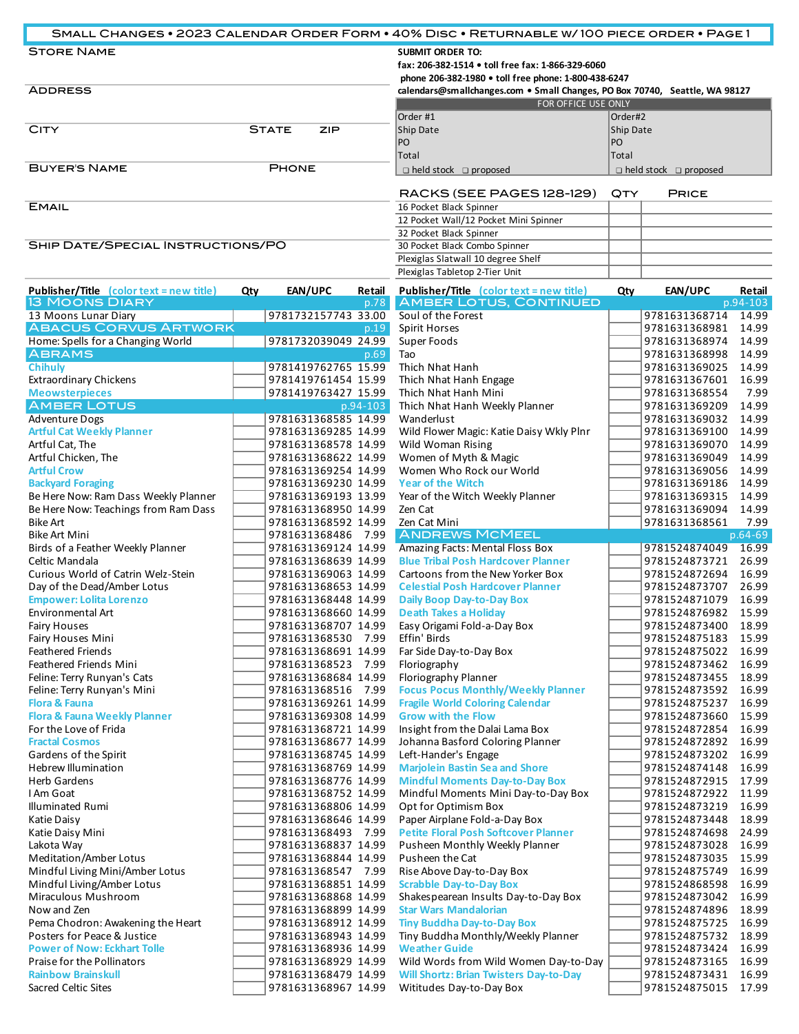| SMALL CHANGES . 2023 CALENDAR ORDER FORM . 40% DISC . RETURNABLE W/100 PIECE ORDER . PAGE1 |                     |                                                                                                                                                                                                                     |                                   |  |  |  |
|--------------------------------------------------------------------------------------------|---------------------|---------------------------------------------------------------------------------------------------------------------------------------------------------------------------------------------------------------------|-----------------------------------|--|--|--|
| <b>STORE NAME</b><br><b>ADDRESS</b>                                                        |                     | <b>SUBMIT ORDER TO:</b><br>fax: 206-382-1514 • toll free fax: 1-866-329-6060<br>phone 206-382-1980 • toll free phone: 1-800-438-6247<br>calendars@smallchanges.com • Small Changes, PO Box 70740, Seattle, WA 98127 |                                   |  |  |  |
|                                                                                            |                     | <b>FOR OFFICE USE ONLY</b>                                                                                                                                                                                          |                                   |  |  |  |
|                                                                                            |                     | Order #1                                                                                                                                                                                                            | Order#2                           |  |  |  |
| <b>CITY</b>                                                                                | <b>STATE</b><br>ZIP | Ship Date                                                                                                                                                                                                           | Ship Date                         |  |  |  |
|                                                                                            |                     | IPO.                                                                                                                                                                                                                | PO.                               |  |  |  |
|                                                                                            |                     | Total                                                                                                                                                                                                               | Total                             |  |  |  |
| <b>BUYER'S NAME</b>                                                                        | <b>PHONE</b>        |                                                                                                                                                                                                                     | $\Box$ held stock $\Box$ proposed |  |  |  |
|                                                                                            |                     | RACKS (SEE PAGES 128-129)                                                                                                                                                                                           | <b>QTY</b><br><b>PRICE</b>        |  |  |  |
| <b>EMAIL</b>                                                                               |                     | 16 Pocket Black Spinner                                                                                                                                                                                             |                                   |  |  |  |
|                                                                                            |                     | 12 Pocket Wall/12 Pocket Mini Spinner                                                                                                                                                                               |                                   |  |  |  |
|                                                                                            |                     | 32 Pocket Black Spinner                                                                                                                                                                                             |                                   |  |  |  |
| SHIP DATE/SPECIAL INSTRUCTIONS/PO                                                          |                     | 30 Pocket Black Combo Spinner                                                                                                                                                                                       |                                   |  |  |  |
|                                                                                            |                     | Plexiglas Slatwall 10 degree Shelf                                                                                                                                                                                  |                                   |  |  |  |
|                                                                                            |                     | Plexiglas Tabletop 2-Tier Unit                                                                                                                                                                                      |                                   |  |  |  |

| <b>Publisher/Title</b> (color text = new title) | <b>Qty</b> | EAN/UPC<br>Retail                          | <b>Publisher/Title</b> (color text = new title) | Qty | EAN/UPC                        | Retail         |
|-------------------------------------------------|------------|--------------------------------------------|-------------------------------------------------|-----|--------------------------------|----------------|
| <b>13 MOONS DIARY</b>                           |            | p.78                                       | <b>AMBER LOTUS, CONTINUED</b>                   |     |                                | p.94-103       |
| 13 Moons Lunar Diary                            |            | 9781732157743 33.00                        | Soul of the Forest                              |     | 9781631368714                  | 14.99          |
| <b>ABACUS CORVUS ARTWORK</b>                    |            | p.19                                       | Spirit Horses                                   |     | 9781631368981                  | 14.99          |
| Home: Spells for a Changing World               |            | 9781732039049 24.99                        | Super Foods                                     |     | 9781631368974                  | 14.99          |
| <b>ABRAMS</b>                                   |            | $\overline{p.69}$                          | Tao                                             |     | 9781631368998                  | 14.99          |
| <b>Chihuly</b>                                  |            | 9781419762765 15.99                        | Thich Nhat Hanh                                 |     | 9781631369025                  | 14.99          |
| <b>Extraordinary Chickens</b>                   |            | 9781419761454 15.99                        | Thich Nhat Hanh Engage                          |     | 9781631367601                  | 16.99          |
| <b>Meowsterpieces</b>                           |            | 9781419763427 15.99                        | Thich Nhat Hanh Mini                            |     | 9781631368554                  | 7.99           |
| <b>AMBER LOTUS</b>                              |            | $p.94-103$                                 | Thich Nhat Hanh Weekly Planner                  |     | 9781631369209                  | 14.99          |
| Adventure Dogs                                  |            | 9781631368585 14.99                        | Wanderlust                                      |     | 9781631369032                  | 14.99          |
| <b>Artful Cat Weekly Planner</b>                |            | 9781631369285 14.99                        | Wild Flower Magic: Katie Daisy Wkly Plnr        |     | 9781631369100                  | 14.99          |
| Artful Cat, The                                 |            | 9781631368578 14.99                        | Wild Woman Rising                               |     | 9781631369070                  | 14.99          |
| Artful Chicken, The                             |            | 9781631368622 14.99                        | Women of Myth & Magic                           |     | 9781631369049                  | 14.99          |
| <b>Artful Crow</b>                              |            | 9781631369254 14.99                        | Women Who Rock our World                        |     | 9781631369056                  | 14.99          |
| <b>Backyard Foraging</b>                        |            | 9781631369230 14.99                        | <b>Year of the Witch</b>                        |     | 9781631369186                  | 14.99          |
| Be Here Now: Ram Dass Weekly Planner            |            | 9781631369193 13.99                        | Year of the Witch Weekly Planner                |     | 9781631369315                  | 14.99          |
| Be Here Now: Teachings from Ram Dass            |            | 9781631368950 14.99                        | Zen Cat                                         |     | 9781631369094                  | 14.99          |
| <b>Bike Art</b>                                 |            | 9781631368592 14.99                        | Zen Cat Mini                                    |     | 9781631368561                  | 7.99           |
| <b>Bike Art Mini</b>                            |            | 9781631368486 7.99                         | <b>ANDREWS MCMEEL</b>                           |     |                                | $p.64-69$      |
| Birds of a Feather Weekly Planner               |            | 9781631369124 14.99                        | Amazing Facts: Mental Floss Box                 |     | 9781524874049                  | 16.99          |
| Celtic Mandala                                  |            | 9781631368639 14.99                        | <b>Blue Tribal Posh Hardcover Planner</b>       |     | 9781524873721                  | 26.99          |
| Curious World of Catrin Welz-Stein              |            | 9781631369063 14.99                        | Cartoons from the New Yorker Box                |     | 9781524872694                  | 16.99          |
| Day of the Dead/Amber Lotus                     |            | 9781631368653 14.99                        | <b>Celestial Posh Hardcover Planner</b>         |     | 9781524873707                  | 26.99          |
| <b>Empower: Lolita Lorenzo</b>                  |            | 9781631368448 14.99                        | <b>Daily Boop Day-to-Day Box</b>                |     | 9781524871079                  | 16.99          |
| Environmental Art                               |            | 9781631368660 14.99                        | <b>Death Takes a Holiday</b>                    |     | 9781524876982                  | 15.99          |
| <b>Fairy Houses</b>                             |            | 9781631368707 14.99                        | Easy Origami Fold-a-Day Box                     |     | 9781524873400                  | 18.99          |
| Fairy Houses Mini                               |            | 9781631368530 7.99                         | Effin' Birds                                    |     | 9781524875183                  | 15.99          |
| <b>Feathered Friends</b>                        |            | 9781631368691 14.99                        | Far Side Day-to-Day Box                         |     | 9781524875022                  | 16.99          |
| Feathered Friends Mini                          |            | 9781631368523 7.99                         | Floriography                                    |     | 9781524873462                  | 16.99          |
| Feline: Terry Runyan's Cats                     |            | 9781631368684 14.99                        | Floriography Planner                            |     | 9781524873455                  | 18.99          |
| Feline: Terry Runyan's Mini                     |            | 9781631368516 7.99                         | <b>Focus Pocus Monthly/Weekly Planner</b>       |     | 9781524873592                  | 16.99          |
| <b>Flora &amp; Fauna</b>                        |            | 9781631369261 14.99                        | <b>Fragile World Coloring Calendar</b>          |     | 9781524875237                  | 16.99          |
| <b>Flora &amp; Fauna Weekly Planner</b>         |            | 9781631369308 14.99                        | <b>Grow with the Flow</b>                       |     | 9781524873660                  | 15.99          |
| For the Love of Frida                           |            | 9781631368721 14.99                        | Insight from the Dalai Lama Box                 |     | 9781524872854                  | 16.99          |
| <b>Fractal Cosmos</b>                           |            | 9781631368677 14.99                        | Johanna Basford Coloring Planner                |     | 9781524872892                  | 16.99          |
| Gardens of the Spirit                           |            | 9781631368745 14.99                        | Left-Hander's Engage                            |     | 9781524873202                  | 16.99          |
| <b>Hebrew Illumination</b>                      |            | 9781631368769 14.99                        | <b>Marjolein Bastin Sea and Shore</b>           |     | 9781524874148                  | 16.99          |
| Herb Gardens                                    |            | 9781631368776 14.99                        | <b>Mindful Moments Day-to-Day Box</b>           |     | 9781524872915                  | 17.99          |
| I Am Goat                                       |            | 9781631368752 14.99                        | Mindful Moments Mini Day-to-Day Box             |     | 9781524872922                  | 11.99          |
| <b>Illuminated Rumi</b>                         |            | 9781631368806 14.99                        | Opt for Optimism Box                            |     | 9781524873219                  | 16.99          |
| Katie Daisy                                     |            | 9781631368646 14.99                        | Paper Airplane Fold-a-Day Box                   |     | 9781524873448                  | 18.99          |
| Katie Daisy Mini                                |            | 9781631368493 7.99                         | <b>Petite Floral Posh Softcover Planner</b>     |     | 9781524874698                  | 24.99          |
| Lakota Way                                      |            | 9781631368837 14.99                        | Pusheen Monthly Weekly Planner                  |     | 9781524873028                  | 16.99          |
| Meditation/Amber Lotus                          |            | 9781631368844 14.99                        | Pusheen the Cat                                 |     | 9781524873035 15.99            |                |
| Mindful Living Mini/Amber Lotus                 |            | 9781631368547 7.99                         | Rise Above Day-to-Day Box                       |     | 9781524875749 16.99            |                |
| Mindful Living/Amber Lotus                      |            | 9781631368851 14.99                        | <b>Scrabble Day-to-Day Box</b>                  |     | 9781524868598 16.99            |                |
| Miraculous Mushroom                             |            | 9781631368868 14.99                        | Shakespearean Insults Day-to-Day Box            |     | 9781524873042                  | 16.99          |
| Now and Zen                                     |            | 9781631368899 14.99                        | <b>Star Wars Mandalorian</b>                    |     | 9781524874896                  | 18.99          |
| Pema Chodron: Awakening the Heart               |            | 9781631368912 14.99                        | <b>Tiny Buddha Day-to-Day Box</b>               |     | 9781524875725                  | 16.99          |
| Posters for Peace & Justice                     |            | 9781631368943 14.99                        | Tiny Buddha Monthly/Weekly Planner              |     | 9781524875732                  | 18.99          |
| <b>Power of Now: Eckhart Tolle</b>              |            | 9781631368936 14.99                        | <b>Weather Guide</b>                            |     | 9781524873424                  | 16.99          |
| <b>Praise for the Pollinators</b>               |            |                                            | Wild Words from Wild Women Day-to-Day           |     |                                |                |
| <b>Rainbow Brainskull</b>                       |            | 9781631368929 14.99<br>9781631368479 14.99 | <b>Will Shortz: Brian Twisters Day-to-Day</b>   |     | 9781524873165<br>9781524873431 | 16.99<br>16.99 |
| Sacred Celtic Sites                             |            | 9781631368967 14.99                        | Wititudes Day-to-Day Box                        |     | 9781524875015 17.99            |                |
|                                                 |            |                                            |                                                 |     |                                |                |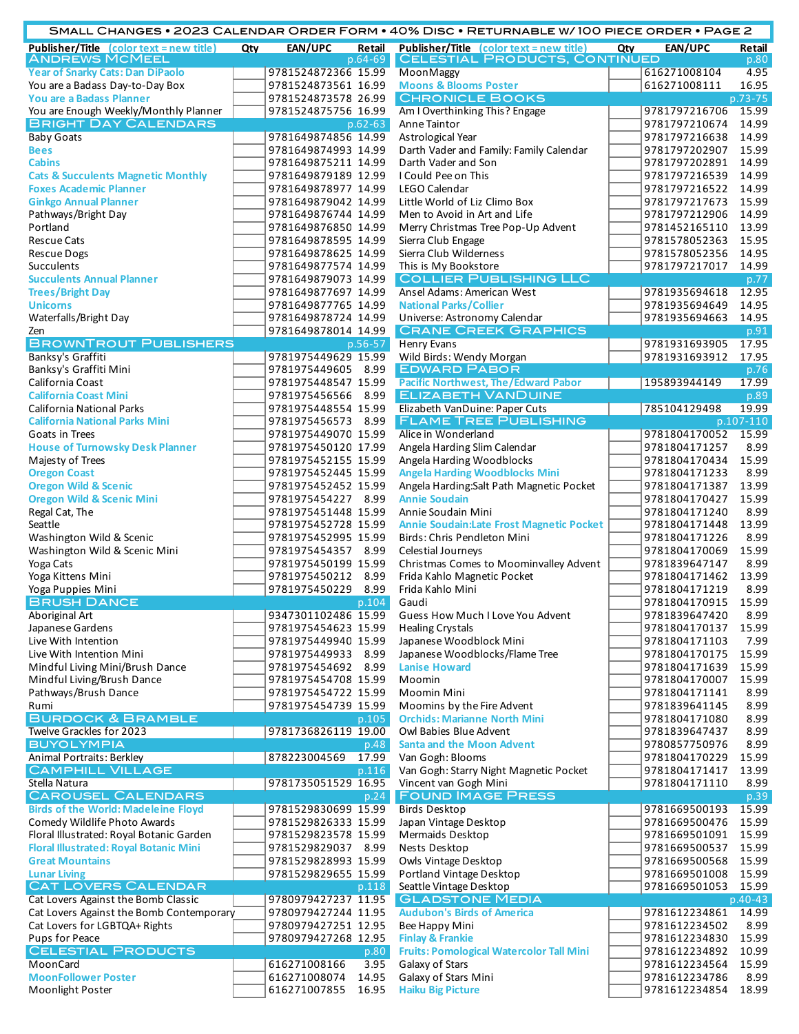|                                                                         |     |                                           |               | SMALL CHANGES • 2023 CALENDAR ORDER FORM • 40% DISC • RETURNABLE W/100 PIECE ORDER • PAGE 2 |     |                                |                |
|-------------------------------------------------------------------------|-----|-------------------------------------------|---------------|---------------------------------------------------------------------------------------------|-----|--------------------------------|----------------|
| <b>Publisher/Title</b> $\{color \pm \text{color} = \text{new title}\}\$ | Qty | EAN/UPC                                   | Retail        | <b>Publisher/Title</b> (color text = new title)                                             | Qty | EAN/UPC                        | Retail         |
| <b>ANDREWS MCMEEL</b>                                                   |     |                                           | $p.64-69$     | <b>CELESTIAL PRODUCTS, CONTINUED</b>                                                        |     |                                | p.80           |
| <b>Year of Snarky Cats: Dan DiPaolo</b>                                 |     | 9781524872366 15.99                       |               | MoonMaggy                                                                                   |     | 616271008104                   | 4.95           |
| You are a Badass Day-to-Day Box                                         |     | 9781524873561 16.99                       |               | <b>Moons &amp; Blooms Poster</b>                                                            |     | 616271008111                   | 16.95          |
| You are a Badass Planner                                                |     | 9781524873578 26.99                       |               | <b>CHRONICLE BOOKS</b>                                                                      |     |                                | p.73-75        |
| You are Enough Weekly/Monthly Planner<br><b>BRIGHT DAY CALENDARS</b>    |     | 9781524875756 16.99                       |               | Am I Overthinking This? Engage<br>Anne Taintor                                              |     | 9781797216706<br>9781797210674 | 15.99<br>14.99 |
| <b>Baby Goats</b>                                                       |     | 9781649874856 14.99                       | $p.62 - 63$   | Astrological Year                                                                           |     | 9781797216638                  | 14.99          |
| <b>Bees</b>                                                             |     | 9781649874993 14.99                       |               | Darth Vader and Family: Family Calendar                                                     |     | 9781797202907                  | 15.99          |
| <b>Cabins</b>                                                           |     | 9781649875211 14.99                       |               | Darth Vader and Son                                                                         |     | 9781797202891                  | 14.99          |
| <b>Cats &amp; Succulents Magnetic Monthly</b>                           |     | 9781649879189 12.99                       |               | I Could Pee on This                                                                         |     | 9781797216539                  | 14.99          |
| <b>Foxes Academic Planner</b>                                           |     | 9781649878977 14.99                       |               | LEGO Calendar                                                                               |     | 9781797216522                  | 14.99          |
| <b>Ginkgo Annual Planner</b>                                            |     | 9781649879042 14.99                       |               | Little World of Liz Climo Box                                                               |     | 9781797217673                  | 15.99          |
| Pathways/Bright Day                                                     |     | 9781649876744 14.99                       |               | Men to Avoid in Art and Life                                                                |     | 9781797212906                  | 14.99          |
| Portland                                                                |     | 9781649876850 14.99                       |               | Merry Christmas Tree Pop-Up Advent                                                          |     | 9781452165110                  | 13.99          |
| <b>Rescue Cats</b>                                                      |     | 9781649878595 14.99                       |               | Sierra Club Engage                                                                          |     | 9781578052363                  | 15.95          |
| <b>Rescue Dogs</b>                                                      |     | 9781649878625 14.99                       |               | Sierra Club Wilderness                                                                      |     | 9781578052356                  | 14.95          |
| Succulents                                                              |     | 9781649877574 14.99                       |               | This is My Bookstore                                                                        |     | 9781797217017                  | 14.99          |
| <b>Succulents Annual Planner</b>                                        |     | 9781649879073 14.99                       |               | <b>COLLIER PUBLISHING LLC</b>                                                               |     |                                | p.77           |
| <b>Trees/Bright Day</b>                                                 |     | 9781649877697 14.99                       |               | Ansel Adams: American West                                                                  |     | 9781935694618                  | 12.95          |
| <b>Unicorns</b>                                                         |     | 9781649877765 14.99                       |               | <b>National Parks/Collier</b>                                                               |     | 9781935694649                  | 14.95          |
| Waterfalls/Bright Day                                                   |     | 9781649878724 14.99                       |               | Universe: Astronomy Calendar                                                                |     | 9781935694663                  | 14.95          |
| Zen<br><b>BROWNTROUT PUBLISHERS</b>                                     |     | 9781649878014 14.99                       |               | <b>CRANE CREEK GRAPHICS</b>                                                                 |     |                                | p.91           |
|                                                                         |     |                                           | p.56-57       | <b>Henry Evans</b>                                                                          |     | 9781931693905                  | 17.95          |
| Banksy's Graffiti<br>Banksy's Graffiti Mini                             |     | 9781975449629 15.99<br>9781975449605 8.99 |               | Wild Birds: Wendy Morgan<br><b>EDWARD PABOR</b>                                             |     | 9781931693912                  | 17.95<br>p.76  |
| California Coast                                                        |     | 9781975448547 15.99                       |               | <b>Pacific Northwest, The/Edward Pabor</b>                                                  |     | 195893944149                   | 17.99          |
| <b>California Coast Mini</b>                                            |     | 9781975456566 8.99                        |               | <b>ELIZABETH VANDUINE</b>                                                                   |     |                                | p.89           |
| <b>California National Parks</b>                                        |     | 9781975448554 15.99                       |               | Elizabeth VanDuine: Paper Cuts                                                              |     | 785104129498                   | 19.99          |
| <b>California National Parks Mini</b>                                   |     | 9781975456573 8.99                        |               | <b>FLAME TREE PUBLISHING</b>                                                                |     |                                | p.107-110      |
| Goats in Trees                                                          |     | 9781975449070 15.99                       |               | Alice in Wonderland                                                                         |     | 9781804170052                  | 15.99          |
| <b>House of Turnowsky Desk Planner</b>                                  |     | 9781975450120 17.99                       |               | Angela Harding Slim Calendar                                                                |     | 9781804171257                  | 8.99           |
| Majesty of Trees                                                        |     | 9781975452155 15.99                       |               | Angela Harding Woodblocks                                                                   |     | 9781804170434                  | 15.99          |
| <b>Oregon Coast</b>                                                     |     | 9781975452445 15.99                       |               | <b>Angela Harding Woodblocks Mini</b>                                                       |     | 9781804171233                  | 8.99           |
| <b>Oregon Wild &amp; Scenic</b>                                         |     | 9781975452452 15.99                       |               | Angela Harding: Salt Path Magnetic Pocket                                                   |     | 9781804171387                  | 13.99          |
| <b>Oregon Wild &amp; Scenic Mini</b>                                    |     | 9781975454227 8.99                        |               | <b>Annie Soudain</b>                                                                        |     | 9781804170427                  | 15.99          |
| Regal Cat, The                                                          |     | 9781975451448 15.99                       |               | Annie Soudain Mini                                                                          |     | 9781804171240                  | 8.99           |
| Seattle                                                                 |     | 9781975452728 15.99                       |               | Annie Soudain: Late Frost Magnetic Pocket                                                   |     | 9781804171448                  | 13.99          |
| Washington Wild & Scenic                                                |     | 9781975452995 15.99                       |               | Birds: Chris Pendleton Mini                                                                 |     | 9781804171226                  | 8.99           |
| Washington Wild & Scenic Mini                                           |     | 9781975454357 8.99                        |               | Celestial Journeys                                                                          |     | 9781804170069                  | 15.99          |
| Yoga Cats                                                               |     | 9781975450199 15.99                       |               | Christmas Comes to Moominvalley Advent                                                      |     | 9781839647147                  | 8.99           |
| Yoga Kittens Mini                                                       |     | 9781975450212 8.99<br>9781975450229       |               | Frida Kahlo Magnetic Pocket<br>Frida Kahlo Mini                                             |     | 9781804171462<br>9781804171219 | 13.99<br>8.99  |
| Yoga Puppies Mini<br><b>BRUSH DANCE</b>                                 |     |                                           | 8.99<br>p.104 | Gaudi                                                                                       |     | 9781804170915                  | 15.99          |
| Aboriginal Art                                                          |     | 9347301102486 15.99                       |               | Guess How Much I Love You Advent                                                            |     | 9781839647420                  | 8.99           |
| Japanese Gardens                                                        |     | 9781975454623 15.99                       |               | <b>Healing Crystals</b>                                                                     |     | 9781804170137                  | 15.99          |
| Live With Intention                                                     |     | 9781975449940 15.99                       |               | Japanese Woodblock Mini                                                                     |     | 9781804171103                  | 7.99           |
| Live With Intention Mini                                                |     | 9781975449933 8.99                        |               | Japanese Woodblocks/Flame Tree                                                              |     | 9781804170175                  | 15.99          |
| Mindful Living Mini/Brush Dance                                         |     | 9781975454692 8.99                        |               | <b>Lanise Howard</b>                                                                        |     | 9781804171639                  | 15.99          |
| Mindful Living/Brush Dance                                              |     | 9781975454708 15.99                       |               | Moomin                                                                                      |     | 9781804170007                  | 15.99          |
| Pathways/Brush Dance                                                    |     | 9781975454722 15.99                       |               | Moomin Mini                                                                                 |     | 9781804171141                  | 8.99           |
| Rumi                                                                    |     | 9781975454739 15.99                       |               | Moomins by the Fire Advent                                                                  |     | 9781839641145                  | 8.99           |
| <b>BURDOCK &amp; BRAMBLE</b>                                            |     |                                           | p.105         | <b>Orchids: Marianne North Mini</b>                                                         |     | 9781804171080                  | 8.99           |
| Twelve Grackles for 2023                                                |     | 9781736826119 19.00                       |               | Owl Babies Blue Advent                                                                      |     | 9781839647437                  | 8.99           |
| <b>BUYOLYMPIA</b>                                                       |     |                                           | p.48          | <b>Santa and the Moon Advent</b>                                                            |     | 9780857750976                  | 8.99           |
| <b>Animal Portraits: Berkley</b>                                        |     | 878223004569                              | 17.99         | Van Gogh: Blooms                                                                            |     | 9781804170229                  | 15.99          |
| <b>CAMPHILL VILLAGE</b>                                                 |     |                                           | p.116         | Van Gogh: Starry Night Magnetic Pocket                                                      |     | 9781804171417                  | 13.99          |
| Stella Natura                                                           |     | 9781735051529 16.95                       |               | Vincent van Gogh Mini<br><b>FOUND IMAGE PRESS</b>                                           |     | 9781804171110                  | 8.99           |
| <b>CAROUSEL CALENDARS</b><br><b>Birds of the World: Madeleine Floyd</b> |     | 9781529830699 15.99                       | p.24          | <b>Birds Desktop</b>                                                                        |     | 9781669500193                  | p.39<br>15.99  |
| Comedy Wildlife Photo Awards                                            |     | 9781529826333 15.99                       |               | Japan Vintage Desktop                                                                       |     | 9781669500476                  | 15.99          |
| Floral Illustrated: Royal Botanic Garden                                |     | 9781529823578 15.99                       |               | Mermaids Desktop                                                                            |     | 9781669501091                  | 15.99          |
| <b>Floral Illustrated: Royal Botanic Mini</b>                           |     | 9781529829037 8.99                        |               | Nests Desktop                                                                               |     | 9781669500537                  | 15.99          |
| <b>Great Mountains</b>                                                  |     | 9781529828993 15.99                       |               | Owls Vintage Desktop                                                                        |     | 9781669500568                  | 15.99          |
| <b>Lunar Living</b>                                                     |     | 9781529829655 15.99                       |               | Portland Vintage Desktop                                                                    |     | 9781669501008                  | 15.99          |
| <b>CAT LOVERS CALENDAR</b>                                              |     |                                           | p.118         | Seattle Vintage Desktop                                                                     |     | 9781669501053                  | 15.99          |
| Cat Lovers Against the Bomb Classic                                     |     | 9780979427237 11.95                       |               | <b>GLADSTONE MEDIA</b>                                                                      |     |                                | $p.40-43$      |
| Cat Lovers Against the Bomb Contemporary                                |     | 9780979427244 11.95                       |               | <b>Audubon's Birds of America</b>                                                           |     | 9781612234861                  | 14.99          |
| Cat Lovers for LGBTQA+ Rights                                           |     | 9780979427251 12.95                       |               | Bee Happy Mini                                                                              |     | 9781612234502                  | 8.99           |
| Pups for Peace                                                          |     | 9780979427268 12.95                       |               | <b>Finlay &amp; Frankie</b>                                                                 |     | 9781612234830                  | 15.99          |
| <b>CELESTIAL PRODUCTS</b>                                               |     |                                           | p.80          | <b>Fruits: Pomological Watercolor Tall Mini</b>                                             |     | 9781612234892                  | 10.99          |
| MoonCard                                                                |     | 616271008166                              | 3.95          | Galaxy of Stars                                                                             |     | 9781612234564                  | 15.99          |
| <b>MoonFollower Poster</b><br>Moonlight Poster                          |     | 616271008074<br>616271007855 16.95        | 14.95         | Galaxy of Stars Mini<br><b>Haiku Big Picture</b>                                            |     | 9781612234786<br>9781612234854 | 8.99<br>18.99  |
|                                                                         |     |                                           |               |                                                                                             |     |                                |                |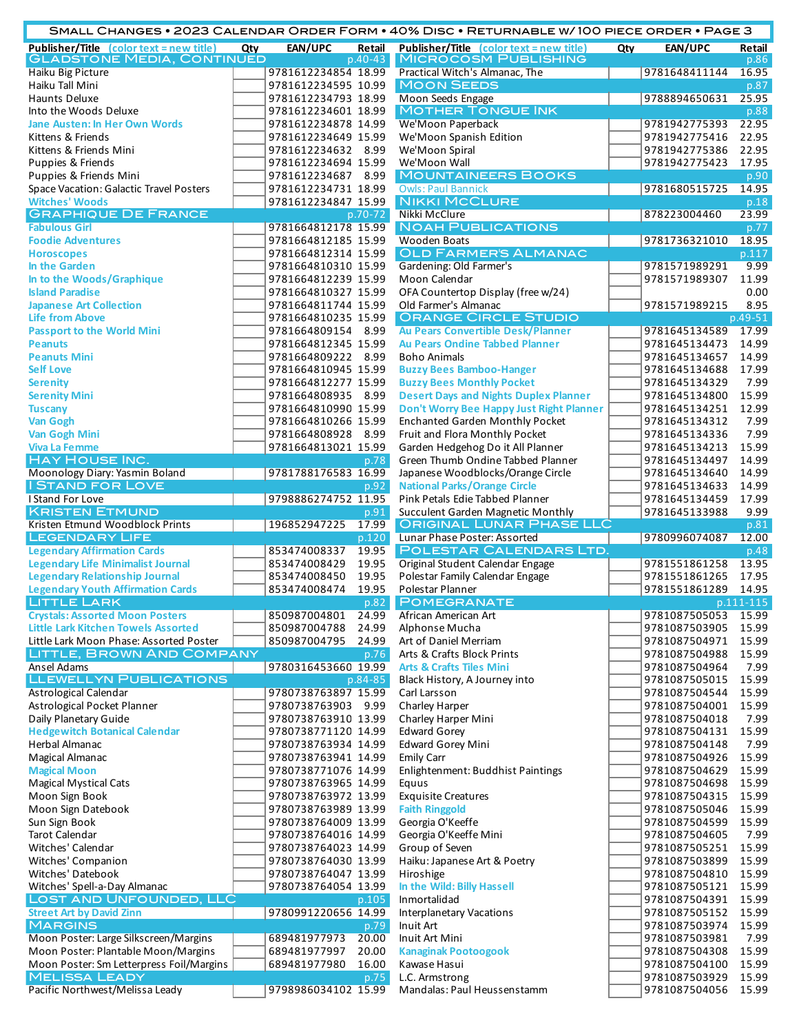| SMALL CHANGES • 2023 CALENDAR ORDER FORM • 40% DISC • RETURNABLE W/100 PIECE ORDER • PAGE 3 |  |                                            |                |                                                                                    |     |                                |                |  |
|---------------------------------------------------------------------------------------------|--|--------------------------------------------|----------------|------------------------------------------------------------------------------------|-----|--------------------------------|----------------|--|
| Publisher/Title (color text = new title) Qty<br><b>GLADSTONE MEDIA, CONTINUED</b>           |  | EAN/UPC                                    | $p.40 - 43$    | Retail Publisher/Title (color text = new title)<br><b>MICROCOSM PUBLISHING</b>     | Qty | EAN/UPC                        | Retail<br>p.86 |  |
| Haiku Big Picture                                                                           |  | 9781612234854 18.99                        |                | Practical Witch's Almanac, The                                                     |     | 9781648411144                  | 16.95          |  |
| Haiku Tall Mini                                                                             |  | 9781612234595 10.99                        |                | <b>MOON SEEDS</b>                                                                  |     |                                | p.87           |  |
| Haunts Deluxe                                                                               |  | 9781612234793 18.99                        |                | Moon Seeds Engage                                                                  |     | 9788894650631                  | 25.95          |  |
| Into the Woods Deluxe                                                                       |  | 9781612234601 18.99                        |                | <b>MOTHER TONGUE INK</b>                                                           |     |                                | p.88           |  |
| <b>Jane Austen: In Her Own Words</b>                                                        |  | 9781612234878 14.99                        |                | We'Moon Paperback                                                                  |     | 9781942775393                  | 22.95          |  |
| Kittens & Friends                                                                           |  | 9781612234649 15.99                        |                | We'Moon Spanish Edition                                                            |     | 9781942775416                  | 22.95          |  |
| Kittens & Friends Mini<br><b>Puppies &amp; Friends</b>                                      |  | 9781612234632 8.99<br>9781612234694 15.99  |                | We'Moon Spiral<br>We'Moon Wall                                                     |     | 9781942775386<br>9781942775423 | 22.95<br>17.95 |  |
| Puppies & Friends Mini                                                                      |  | 9781612234687 8.99                         |                | <b>MOUNTAINEERS BOOKS</b>                                                          |     |                                | p.90           |  |
| Space Vacation: Galactic Travel Posters                                                     |  | 9781612234731 18.99                        |                | <b>Owls: Paul Bannick</b>                                                          |     | 9781680515725                  | 14.95          |  |
| <b>Witches' Woods</b>                                                                       |  | 9781612234847 15.99                        |                | <b>NIKKI MCCLURE</b>                                                               |     |                                | p.18           |  |
| <b>GRAPHIQUE DE FRANCE</b>                                                                  |  |                                            | p.70-72        | Nikki McClure                                                                      |     | 878223004460                   | 23.99          |  |
| <b>Fabulous Girl</b>                                                                        |  | 9781664812178 15.99                        |                | <b>NOAH PUBLICATIONS</b>                                                           |     |                                | p.77           |  |
| <b>Foodie Adventures</b>                                                                    |  | 9781664812185 15.99                        |                | <b>Wooden Boats</b>                                                                |     | 9781736321010                  | 18.95          |  |
| <b>Horoscopes</b>                                                                           |  | 9781664812314 15.99                        |                | <b>OLD FARMER'S ALMANAC</b>                                                        |     |                                | p.117          |  |
| In the Garden                                                                               |  | 9781664810310 15.99                        |                | Gardening: Old Farmer's                                                            |     | 9781571989291                  | 9.99           |  |
| In to the Woods/Graphique<br><b>Island Paradise</b>                                         |  | 9781664812239 15.99<br>9781664810327 15.99 |                | Moon Calendar<br>OFA Countertop Display (free w/24)                                |     | 9781571989307                  | 11.99<br>0.00  |  |
| <b>Japanese Art Collection</b>                                                              |  | 9781664811744 15.99                        |                | Old Farmer's Almanac                                                               |     | 9781571989215                  | 8.95           |  |
| <b>Life from Above</b>                                                                      |  | 9781664810235 15.99                        |                | <b>ORANGE CIRCLE STUDIO</b>                                                        |     |                                | p.49-51        |  |
| <b>Passport to the World Mini</b>                                                           |  | 9781664809154 8.99                         |                | Au Pears Convertible Desk/Planner                                                  |     | 9781645134589                  | 17.99          |  |
| <b>Peanuts</b>                                                                              |  | 9781664812345 15.99                        |                | <b>Au Pears Ondine Tabbed Planner</b>                                              |     | 9781645134473                  | 14.99          |  |
| <b>Peanuts Mini</b>                                                                         |  | 9781664809222 8.99                         |                | <b>Boho Animals</b>                                                                |     | 9781645134657                  | 14.99          |  |
| <b>Self Love</b>                                                                            |  | 9781664810945 15.99                        |                | <b>Buzzy Bees Bamboo-Hanger</b>                                                    |     | 9781645134688                  | 17.99          |  |
| <b>Serenity</b>                                                                             |  | 9781664812277 15.99                        |                | <b>Buzzy Bees Monthly Pocket</b>                                                   |     | 9781645134329                  | 7.99           |  |
| <b>Serenity Mini</b>                                                                        |  | 9781664808935 8.99                         |                | <b>Desert Days and Nights Duplex Planner</b>                                       |     | 9781645134800                  | 15.99          |  |
| <b>Tuscany</b><br><b>Van Gogh</b>                                                           |  | 9781664810990 15.99<br>9781664810266 15.99 |                | Don't Worry Bee Happy Just Right Planner<br><b>Enchanted Garden Monthly Pocket</b> |     | 9781645134251<br>9781645134312 | 12.99<br>7.99  |  |
| <b>Van Gogh Mini</b>                                                                        |  | 9781664808928 8.99                         |                | Fruit and Flora Monthly Pocket                                                     |     | 9781645134336                  | 7.99           |  |
| <b>Viva La Femme</b>                                                                        |  | 9781664813021 15.99                        |                | Garden Hedgehog Do it All Planner                                                  |     | 9781645134213                  | 15.99          |  |
| <b>HAY HOUSE INC.</b>                                                                       |  |                                            | p.78           | Green Thumb Ondine Tabbed Planner                                                  |     | 9781645134497                  | 14.99          |  |
| Moonology Diary: Yasmin Boland                                                              |  | 9781788176583 16.99                        |                | Japanese Woodblocks/Orange Circle                                                  |     | 9781645134640                  | 14.99          |  |
| <b>I STAND FOR LOVE</b>                                                                     |  |                                            | p.92           | <b>National Parks/Orange Circle</b>                                                |     | 9781645134633                  | 14.99          |  |
| I Stand For Love                                                                            |  | 9798886274752 11.95                        |                | Pink Petals Edie Tabbed Planner                                                    |     | 9781645134459                  | 17.99          |  |
| <b>KRISTEN ETMUND</b>                                                                       |  |                                            | p.91           |                                                                                    |     | 9781645133988                  | 9.99           |  |
|                                                                                             |  |                                            |                | Succulent Garden Magnetic Monthly                                                  |     |                                |                |  |
| Kristen Etmund Woodblock Prints                                                             |  | 196852947225                               | 17.99          | <b>ORIGINAL LUNAR PHASE LLC</b>                                                    |     |                                | p.81           |  |
| <b>LEGENDARY LIFE</b>                                                                       |  |                                            | p.120          | Lunar Phase Poster: Assorted                                                       |     | 9780996074087                  | 12.00          |  |
| <b>Legendary Affirmation Cards</b>                                                          |  | 853474008337                               | 19.95          | <b>POLESTAR CALENDARS LTD.</b>                                                     |     |                                | p.48           |  |
| <b>Legendary Life Minimalist Journal</b>                                                    |  | 853474008429<br>853474008450               | 19.95<br>19.95 | Original Student Calendar Engage                                                   |     | 9781551861258<br>9781551861265 | 13.95<br>17.95 |  |
| <b>Legendary Relationship Journal</b><br><b>Legendary Youth Affirmation Cards</b>           |  | 853474008474                               | 19.95          | Polestar Family Calendar Engage<br>Polestar Planner                                |     | 9781551861289                  | 14.95          |  |
| <b>LITTLE LARK</b>                                                                          |  |                                            | p.82           | <b>POMEGRANATE</b>                                                                 |     |                                | p.111-115      |  |
| <b>Crystals: Assorted Moon Posters</b>                                                      |  | 850987004801                               | 24.99          | African American Art                                                               |     | 9781087505053                  | 15.99          |  |
| <b>Little Lark Kitchen Towels Assorted</b>                                                  |  | 850987004788                               | 24.99          | Alphonse Mucha                                                                     |     | 9781087503905                  | 15.99          |  |
| Little Lark Moon Phase: Assorted Poster                                                     |  | 850987004795 24.99                         |                | Art of Daniel Merriam                                                              |     | 9781087504971                  | 15.99          |  |
| <b>LITTLE, BROWN AND COMPANY</b>                                                            |  |                                            | p.76           | Arts & Crafts Block Prints                                                         |     | 9781087504988                  | 15.99          |  |
| <b>Ansel Adams</b>                                                                          |  | 9780316453660 19.99                        |                | <b>Arts &amp; Crafts Tiles Mini</b>                                                |     | 9781087504964                  | 7.99           |  |
| <b>LLEWELLYN PUBLICATIONS</b><br>Astrological Calendar                                      |  | 9780738763897 15.99                        | p.84-85        | Black History, A Journey into<br>Carl Larsson                                      |     | 9781087505015<br>9781087504544 | 15.99<br>15.99 |  |
| Astrological Pocket Planner                                                                 |  | 9780738763903 9.99                         |                | Charley Harper                                                                     |     | 9781087504001                  | 15.99          |  |
| Daily Planetary Guide                                                                       |  | 9780738763910 13.99                        |                | Charley Harper Mini                                                                |     | 9781087504018                  | 7.99           |  |
| <b>Hedgewitch Botanical Calendar</b>                                                        |  | 9780738771120 14.99                        |                | <b>Edward Gorey</b>                                                                |     | 9781087504131                  | 15.99          |  |
| Herbal Almanac                                                                              |  | 9780738763934 14.99                        |                | <b>Edward Gorey Mini</b>                                                           |     | 9781087504148                  | 7.99           |  |
| Magical Almanac                                                                             |  | 9780738763941 14.99                        |                | <b>Emily Carr</b>                                                                  |     | 9781087504926                  | 15.99          |  |
| <b>Magical Moon</b>                                                                         |  | 9780738771076 14.99                        |                | Enlightenment: Buddhist Paintings                                                  |     | 9781087504629                  | 15.99          |  |
| <b>Magical Mystical Cats</b>                                                                |  | 9780738763965 14.99                        |                | Equus                                                                              |     | 9781087504698                  | 15.99          |  |
| Moon Sign Book                                                                              |  | 9780738763972 13.99                        |                | <b>Exquisite Creatures</b>                                                         |     | 9781087504315                  | 15.99          |  |
| Moon Sign Datebook<br>Sun Sign Book                                                         |  | 9780738763989 13.99<br>9780738764009 13.99 |                | <b>Faith Ringgold</b><br>Georgia O'Keeffe                                          |     | 9781087505046<br>9781087504599 | 15.99<br>15.99 |  |
| <b>Tarot Calendar</b>                                                                       |  | 9780738764016 14.99                        |                | Georgia O'Keeffe Mini                                                              |     | 9781087504605                  | 7.99           |  |
| Witches' Calendar                                                                           |  | 9780738764023 14.99                        |                | Group of Seven                                                                     |     | 9781087505251                  | 15.99          |  |
| Witches' Companion                                                                          |  | 9780738764030 13.99                        |                | Haiku: Japanese Art & Poetry                                                       |     | 9781087503899                  | 15.99          |  |
| Witches' Datebook                                                                           |  | 9780738764047 13.99                        |                | Hiroshige                                                                          |     | 9781087504810                  | 15.99          |  |
| Witches' Spell-a-Day Almanac                                                                |  | 9780738764054 13.99                        |                | In the Wild: Billy Hassell                                                         |     | 9781087505121                  | 15.99          |  |
| LOST AND UNFOUNDED, LLC                                                                     |  |                                            | p.105          | Inmortalidad                                                                       |     | 9781087504391 15.99            |                |  |
| <b>Street Art by David Zinn</b>                                                             |  | 9780991220656 14.99                        |                | <b>Interplanetary Vacations</b>                                                    |     | 9781087505152                  | 15.99          |  |
| <b>MARGINS</b>                                                                              |  | 689481977973                               | p.79<br>20.00  | Inuit Art<br>Inuit Art Mini                                                        |     | 9781087503974                  | 15.99<br>7.99  |  |
| Moon Poster: Large Silkscreen/Margins<br>Moon Poster: Plantable Moon/Margins                |  | 689481977997                               | 20.00          | <b>Kanaginak Pootoogook</b>                                                        |     | 9781087503981<br>9781087504308 | 15.99          |  |
| Moon Poster: Sm Letterpress Foil/Margins                                                    |  | 689481977980                               | 16.00          | Kawase Hasui                                                                       |     | 9781087504100                  | 15.99          |  |
| <b>MELISSA LEADY</b><br>Pacific Northwest/Melissa Leady                                     |  | 9798986034102 15.99                        | p.75           | L.C. Armstrong<br>Mandalas: Paul Heussenstamm                                      |     | 9781087503929<br>9781087504056 | 15.99<br>15.99 |  |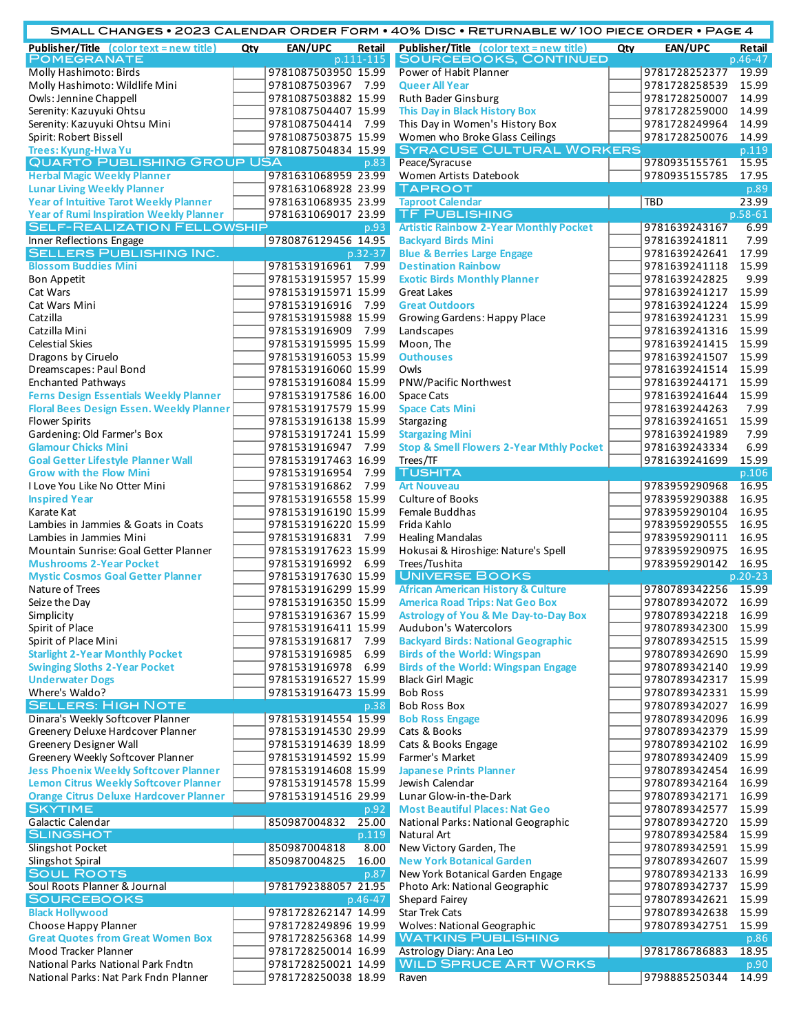|                                                                                |     |                                            |             | SMALL CHANGES • 2023 CALENDAR ORDER FORM • 40% DISC • RETURNABLE W/100 PIECE ORDER • PAGE 4 |     |                                |                  |
|--------------------------------------------------------------------------------|-----|--------------------------------------------|-------------|---------------------------------------------------------------------------------------------|-----|--------------------------------|------------------|
| Publisher/Title (color text = new title)                                       | Qty | EAN/UPC                                    | Retail      | Publisher/Title (color text = new title)                                                    | Qty | EAN/UPC                        | Retail           |
| <b>POMEGRANATE</b><br>Molly Hashimoto: Birds                                   |     | 9781087503950 15.99                        | p.111-115   | SOURCEBOOKS, CONTINUED<br>Power of Habit Planner                                            |     | 9781728252377                  | p.46-47<br>19.99 |
| Molly Hashimoto: Wildlife Mini                                                 |     | 9781087503967 7.99                         |             | <b>Queer All Year</b>                                                                       |     | 9781728258539                  | 15.99            |
| Owls: Jennine Chappell                                                         |     | 9781087503882 15.99                        |             | Ruth Bader Ginsburg                                                                         |     | 9781728250007                  | 14.99            |
| Serenity: Kazuyuki Ohtsu                                                       |     | 9781087504407 15.99                        |             | This Day in Black History Box                                                               |     | 9781728259000                  | 14.99            |
| Serenity: Kazuyuki Ohtsu Mini                                                  |     | 9781087504414 7.99                         |             | This Day in Women's History Box                                                             |     | 9781728249964                  | 14.99            |
| Spirit: Robert Bissell                                                         |     | 9781087503875 15.99                        |             | Women who Broke Glass Ceilings                                                              |     | 9781728250076                  | 14.99            |
| Trees: Kyung-Hwa Yu                                                            |     | 9781087504834 15.99                        |             | <b>SYRACUSE CULTURAL WORKERS</b>                                                            |     |                                | p.119            |
| <b>QUARTO PUBLISHING GROUP USA</b>                                             |     |                                            | p.83        | Peace/Syracuse                                                                              |     | 9780935155761                  | 15.95            |
| <b>Herbal Magic Weekly Planner</b><br><b>Lunar Living Weekly Planner</b>       |     | 9781631068959 23.99                        |             | Women Artists Datebook<br><b>TAPROOT</b>                                                    |     | 9780935155785                  | 17.95            |
| <b>Year of Intuitive Tarot Weekly Planner</b>                                  |     | 9781631068928 23.99<br>9781631068935 23.99 |             | <b>Taproot Calendar</b>                                                                     |     | <b>TBD</b>                     | p.89<br>23.99    |
| <b>Year of Rumi Inspiration Weekly Planner</b>                                 |     | 9781631069017 23.99                        |             | <b>TF PUBLISHING</b>                                                                        |     |                                | $p.58-61$        |
| <b>SELF-REALIZATION FELLOWSHIP</b>                                             |     |                                            | p.93        | <b>Artistic Rainbow 2-Year Monthly Pocket</b>                                               |     | 9781639243167                  | 6.99             |
| Inner Reflections Engage                                                       |     | 9780876129456 14.95                        |             | <b>Backyard Birds Mini</b>                                                                  |     | 9781639241811                  | 7.99             |
| <b>SELLERS PUBLISHING INC.</b>                                                 |     |                                            | $p.32 - 37$ | <b>Blue &amp; Berries Large Engage</b>                                                      |     | 9781639242641                  | 17.99            |
| <b>Blossom Buddies Mini</b>                                                    |     | 9781531916961 7.99                         |             | <b>Destination Rainbow</b>                                                                  |     | 9781639241118                  | 15.99            |
| <b>Bon Appetit</b>                                                             |     | 9781531915957 15.99                        |             | <b>Exotic Birds Monthly Planner</b>                                                         |     | 9781639242825                  | 9.99             |
| Cat Wars                                                                       |     | 9781531915971 15.99                        |             | <b>Great Lakes</b>                                                                          |     | 9781639241217                  | 15.99            |
| Cat Wars Mini                                                                  |     | 9781531916916 7.99                         |             | <b>Great Outdoors</b>                                                                       |     | 9781639241224                  | 15.99            |
| Catzilla                                                                       |     | 9781531915988 15.99                        |             | <b>Growing Gardens: Happy Place</b>                                                         |     | 9781639241231                  | 15.99            |
| Catzilla Mini                                                                  |     | 9781531916909 7.99<br>9781531915995 15.99  |             | Landscapes                                                                                  |     | 9781639241316                  | 15.99<br>15.99   |
| <b>Celestial Skies</b><br>Dragons by Ciruelo                                   |     | 9781531916053 15.99                        |             | Moon, The<br><b>Outhouses</b>                                                               |     | 9781639241415<br>9781639241507 | 15.99            |
| Dreamscapes: Paul Bond                                                         |     | 9781531916060 15.99                        |             | Owls                                                                                        |     | 9781639241514                  | 15.99            |
| <b>Enchanted Pathways</b>                                                      |     | 9781531916084 15.99                        |             | PNW/Pacific Northwest                                                                       |     | 9781639244171                  | 15.99            |
| <b>Ferns Design Essentials Weekly Planner</b>                                  |     | 9781531917586 16.00                        |             | Space Cats                                                                                  |     | 9781639241644                  | 15.99            |
| <b>Floral Bees Design Essen. Weekly Planner</b>                                |     | 9781531917579 15.99                        |             | <b>Space Cats Mini</b>                                                                      |     | 9781639244263                  | 7.99             |
| <b>Flower Spirits</b>                                                          |     | 9781531916138 15.99                        |             | Stargazing                                                                                  |     | 9781639241651                  | 15.99            |
| Gardening: Old Farmer's Box                                                    |     | 9781531917241 15.99                        |             | <b>Stargazing Mini</b>                                                                      |     | 9781639241989                  | 7.99             |
| <b>Glamour Chicks Mini</b>                                                     |     | 9781531916947 7.99                         |             | <b>Stop &amp; Smell Flowers 2-Year Mthly Pocket</b>                                         |     | 9781639243334                  | 6.99             |
| <b>Goal Getter Lifestyle Planner Wall</b>                                      |     | 9781531917463 16.99                        |             | Trees/TF                                                                                    |     | 9781639241699                  | 15.99            |
| <b>Grow with the Flow Mini</b>                                                 |     | 9781531916954 7.99                         |             | <b>TUSHITA</b>                                                                              |     |                                | p.106            |
| I Love You Like No Otter Mini                                                  |     | 9781531916862 7.99                         |             | <b>Art Nouveau</b><br><b>Culture of Books</b>                                               |     | 9783959290968                  | 16.95<br>16.95   |
| <b>Inspired Year</b><br>Karate Kat                                             |     | 9781531916558 15.99<br>9781531916190 15.99 |             | Female Buddhas                                                                              |     | 9783959290388<br>9783959290104 | 16.95            |
| Lambies in Jammies & Goats in Coats                                            |     | 9781531916220 15.99                        |             | Frida Kahlo                                                                                 |     | 9783959290555                  | 16.95            |
| Lambies in Jammies Mini                                                        |     | 9781531916831 7.99                         |             | <b>Healing Mandalas</b>                                                                     |     | 9783959290111                  | 16.95            |
| Mountain Sunrise: Goal Getter Planner                                          |     | 9781531917623 15.99                        |             | Hokusai & Hiroshige: Nature's Spell                                                         |     | 9783959290975                  | 16.95            |
| <b>Mushrooms 2-Year Pocket</b>                                                 |     | 9781531916992 6.99                         |             | Trees/Tushita                                                                               |     | 9783959290142                  | 16.95            |
| <b>Mystic Cosmos Goal Getter Planner</b>                                       |     | 9781531917630 15.99                        |             | <b>UNIVERSE BOOKS</b>                                                                       |     |                                | $p.20-23$        |
| Nature of Trees                                                                |     | 9781531916299 15.99                        |             | <b>African American History &amp; Culture</b>                                               |     | 9780789342256                  | 15.99            |
| Seize the Day                                                                  |     | 9781531916350 15.99                        |             | <b>America Road Trips: Nat Geo Box</b>                                                      |     | 9780789342072 16.99            |                  |
| Simplicity                                                                     |     | 9781531916367 15.99                        |             | <b>Astrology of You &amp; Me Day-to-Day Box</b>                                             |     | 9780789342218                  | 16.99            |
| Spirit of Place                                                                |     | 9781531916411 15.99                        |             | Audubon's Watercolors                                                                       |     | 9780789342300                  | 15.99            |
| Spirit of Place Mini                                                           |     | 9781531916817 7.99                         |             | <b>Backyard Birds: National Geographic</b>                                                  |     | 9780789342515                  | 15.99<br>15.99   |
| <b>Starlight 2-Year Monthly Pocket</b><br><b>Swinging Sloths 2-Year Pocket</b> |     | 9781531916985 6.99<br>9781531916978 6.99   |             | <b>Birds of the World: Wingspan</b><br><b>Birds of the World: Wingspan Engage</b>           |     | 9780789342690<br>9780789342140 | 19.99            |
| <b>Underwater Dogs</b>                                                         |     | 9781531916527 15.99                        |             | <b>Black Girl Magic</b>                                                                     |     | 9780789342317                  | 15.99            |
| Where's Waldo?                                                                 |     | 9781531916473 15.99                        |             | <b>Bob Ross</b>                                                                             |     | 9780789342331                  | 15.99            |
| <b>SELLERS: HIGH NOTE</b>                                                      |     |                                            | p.38        | <b>Bob Ross Box</b>                                                                         |     | 9780789342027                  | 16.99            |
| Dinara's Weekly Softcover Planner                                              |     | 9781531914554 15.99                        |             | <b>Bob Ross Engage</b>                                                                      |     | 9780789342096                  | 16.99            |
| Greenery Deluxe Hardcover Planner                                              |     | 9781531914530 29.99                        |             | Cats & Books                                                                                |     | 9780789342379                  | 15.99            |
| Greenery Designer Wall                                                         |     | 9781531914639 18.99                        |             | Cats & Books Engage                                                                         |     | 9780789342102                  | 16.99            |
| Greenery Weekly Softcover Planner                                              |     | 9781531914592 15.99                        |             | Farmer's Market                                                                             |     | 9780789342409                  | 15.99            |
| <b>Jess Phoenix Weekly Softcover Planner</b>                                   |     | 9781531914608 15.99                        |             | <b>Japanese Prints Planner</b>                                                              |     | 9780789342454                  | 16.99            |
| Lemon Citrus Weekly Softcover Planner                                          |     | 9781531914578 15.99                        |             | Jewish Calendar                                                                             |     | 9780789342164                  | 16.99            |
| <b>Orange Citrus Deluxe Hardcover Planner</b><br><b>SKYTIME</b>                |     | 9781531914516 29.99                        | p.92        | Lunar Glow-in-the-Dark<br><b>Most Beautiful Places: Nat Geo</b>                             |     | 9780789342171<br>9780789342577 | 16.99<br>15.99   |
| Galactic Calendar                                                              |     | 850987004832                               | 25.00       | National Parks: National Geographic                                                         |     | 9780789342720                  | 15.99            |
| <b>SLINGSHOT</b>                                                               |     |                                            | p.119       | Natural Art                                                                                 |     | 9780789342584                  | 15.99            |
| <b>Slingshot Pocket</b>                                                        |     | 850987004818                               | 8.00        | New Victory Garden, The                                                                     |     | 9780789342591                  | 15.99            |
| Slingshot Spiral                                                               |     | 850987004825                               | 16.00       | <b>New York Botanical Garden</b>                                                            |     | 9780789342607                  | 15.99            |
| <b>SOUL ROOTS</b>                                                              |     |                                            | p.87        | New York Botanical Garden Engage                                                            |     | 9780789342133                  | 16.99            |
| Soul Roots Planner & Journal                                                   |     | 9781792388057 21.95                        |             | Photo Ark: National Geographic                                                              |     | 9780789342737                  | 15.99            |
| <b>SOURCEBOOKS</b>                                                             |     |                                            | $p.46 - 47$ | Shepard Fairey                                                                              |     | 9780789342621                  | 15.99            |
| <b>Black Hollywood</b>                                                         |     | 9781728262147 14.99                        |             | <b>Star Trek Cats</b>                                                                       |     | 9780789342638                  | 15.99            |
| Choose Happy Planner                                                           |     | 9781728249896 19.99                        |             | <b>Wolves: National Geographic</b>                                                          |     | 9780789342751                  | 15.99            |
| <b>Great Quotes from Great Women Box</b>                                       |     | 9781728256368 14.99                        |             | <b>WATKINS PUBLISHING</b>                                                                   |     |                                | p.86             |
| Mood Tracker Planner<br>National Parks National Park Fndtn                     |     | 9781728250014 16.99<br>9781728250021 14.99 |             | Astrology Diary: Ana Leo<br><b>WILD SPRUCE ART WORKS</b>                                    |     | 9781786786883                  | 18.95<br>p.90    |
| National Parks: Nat Park Fndn Planner                                          |     | 9781728250038 18.99                        |             | Raven                                                                                       |     | 9798885250344                  | 14.99            |
|                                                                                |     |                                            |             |                                                                                             |     |                                |                  |